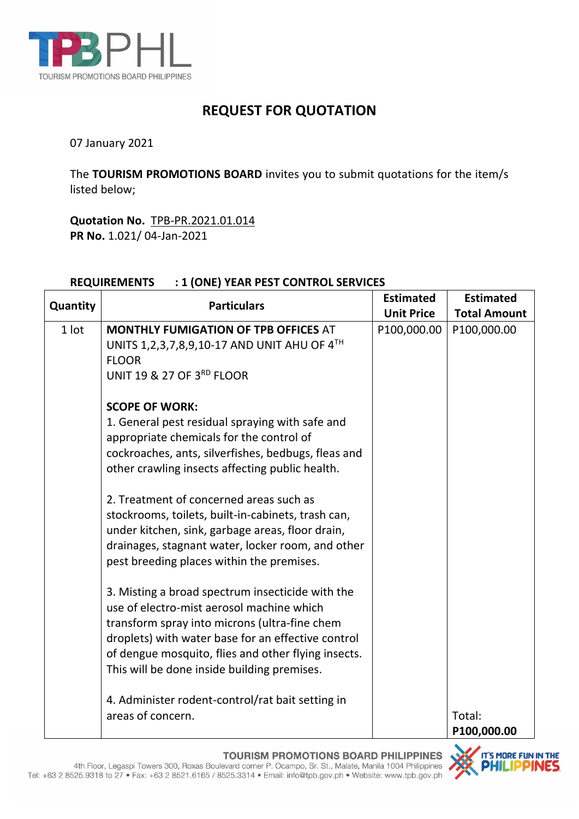

## **REQUEST FOR QUOTATION**

07 January 2021

The **TOURISM PROMOTIONS BOARD** invites you to submit quotations for the item/s listed below;

**Quotation No.** TPB-PR.2021.01.014 **PR No.** 1.021/ 04-Jan-2021

## **REQUIREMENTS : 1 (ONE) YEAR PEST CONTROL SERVICES**

| Quantity | <b>Particulars</b>                                  | <b>Estimated</b>  | <b>Estimated</b>    |
|----------|-----------------------------------------------------|-------------------|---------------------|
|          |                                                     | <b>Unit Price</b> | <b>Total Amount</b> |
| 1 lot    | <b>MONTHLY FUMIGATION OF TPB OFFICES AT</b>         | P100,000.00       | P100,000.00         |
|          | UNITS 1, 2, 3, 7, 8, 9, 10-17 AND UNIT AHU OF 4TH   |                   |                     |
|          | <b>FLOOR</b>                                        |                   |                     |
|          | UNIT 19 & 27 OF 3RD FLOOR                           |                   |                     |
|          | <b>SCOPE OF WORK:</b>                               |                   |                     |
|          | 1. General pest residual spraying with safe and     |                   |                     |
|          | appropriate chemicals for the control of            |                   |                     |
|          | cockroaches, ants, silverfishes, bedbugs, fleas and |                   |                     |
|          | other crawling insects affecting public health.     |                   |                     |
|          | 2. Treatment of concerned areas such as             |                   |                     |
|          | stockrooms, toilets, built-in-cabinets, trash can,  |                   |                     |
|          | under kitchen, sink, garbage areas, floor drain,    |                   |                     |
|          | drainages, stagnant water, locker room, and other   |                   |                     |
|          | pest breeding places within the premises.           |                   |                     |
|          | 3. Misting a broad spectrum insecticide with the    |                   |                     |
|          | use of electro-mist aerosol machine which           |                   |                     |
|          | transform spray into microns (ultra-fine chem       |                   |                     |
|          | droplets) with water base for an effective control  |                   |                     |
|          | of dengue mosquito, flies and other flying insects. |                   |                     |
|          | This will be done inside building premises.         |                   |                     |
|          | 4. Administer rodent-control/rat bait setting in    |                   |                     |
|          | areas of concern.                                   |                   | Total:              |
|          |                                                     |                   | P100,000.00         |